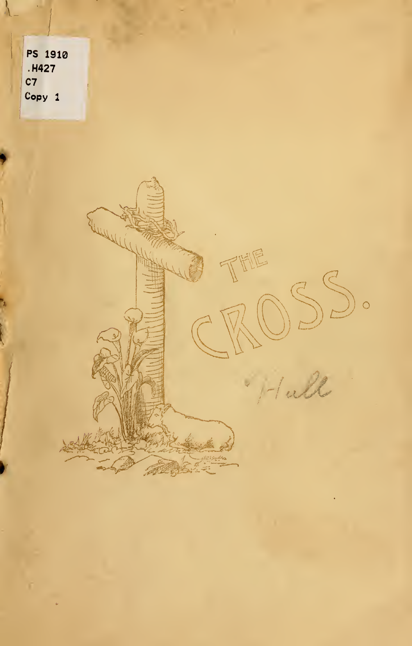PS 1910 .H427  $c7$ Copy 1

阳

Hall

 $\circ$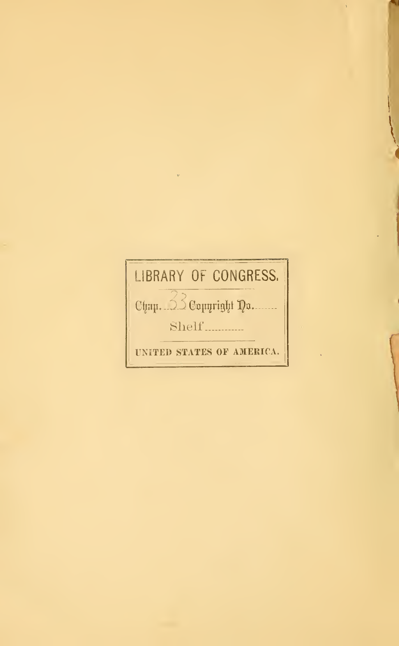# LIBRARY OF CONGRESS. Chun. 33 Copyright Do. Shelf UNITED STATES OF AMERICA.

 $\overline{\phantom{a}}$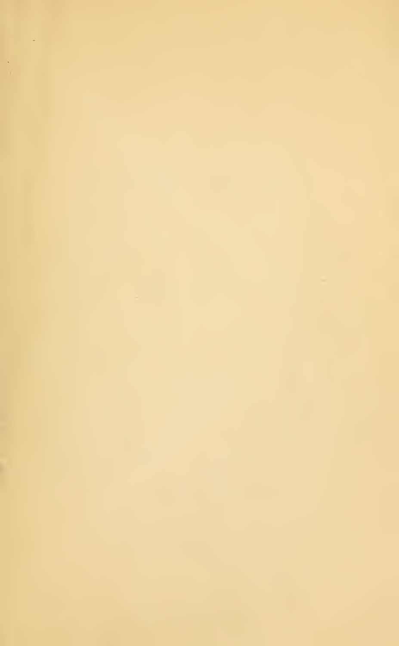$\sim$ 

 $\frac{1}{\alpha}$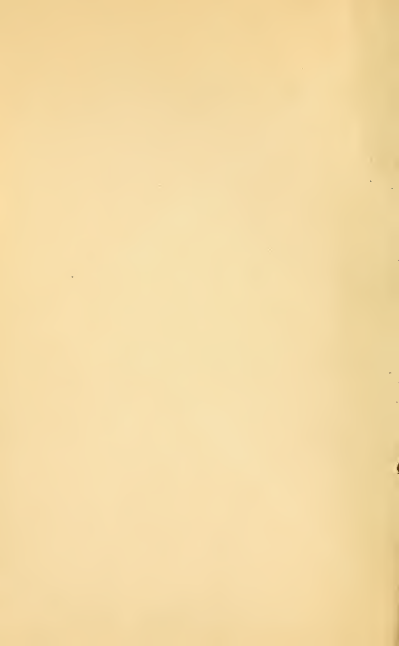l,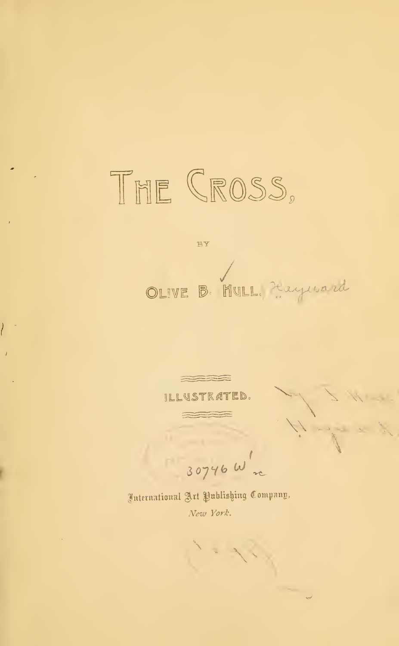# THE CROSS,

BY OLIVE B. MULL. Hayers ed

ILLUSTRATED.

30746 W 20

International Art Publishing Company, New York.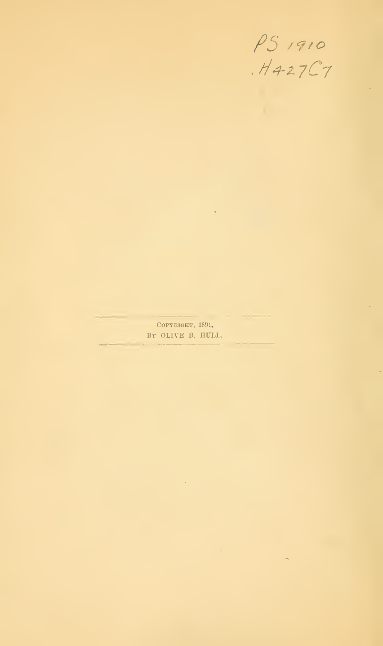$PS$  1910<br> $H427C7$ 

 $\omega_{\rm t}$ 

Copyright, 1891, Br OLIVE B. HULL.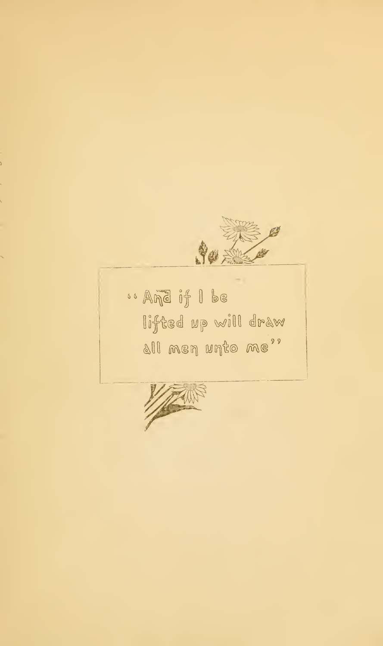

.. And if I be lifted up will draw all men unto me"



S

×,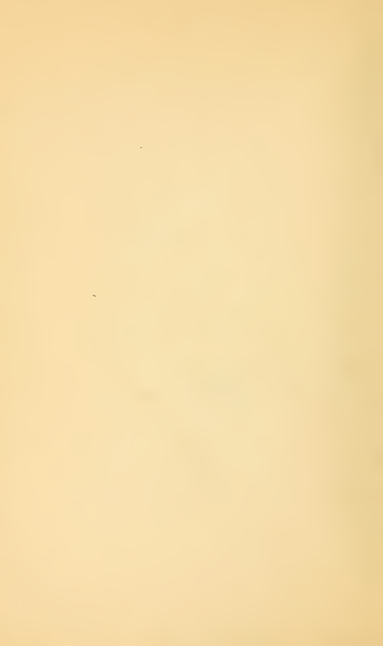$\mathcal{L}(\mathcal{L}^{\mathcal{L}})$  ,  $\mathcal{L}(\mathcal{L}^{\mathcal{L}})$  ,  $\mathcal{L}(\mathcal{L}^{\mathcal{L}})$  $\mathcal{S}^{\text{max}}_{\text{max}}$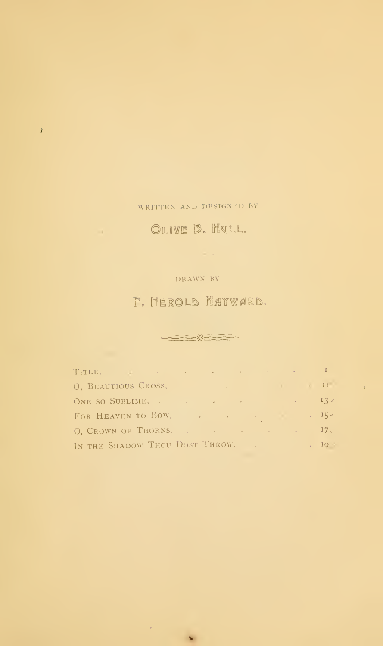### WRITTEN AND DESIGNED BY

 $\lambda$ 

### OLIVE B. HULL.

### DRAWN BY

### P. HEROLD HAYWARD.

TITLE, AND ANNOUNCES CROSS, AND ANNOUNCES AND ANNOUNCES AND ALL AND ANNOUNCES AND ALL AND ANNOUNCES AND ALL AND ANNOUNCES AND ALL AND ANNOUNCES AND ALL AND ANNOUNCES AND ALL AND ALL AND ALL AND ALL AND ALL AND ALL AND ALL  $\mathbf{r}$ ONE SO SUBLIME, And Allen and Allen and Allen and Allen and Allen and Allen and Allen FOR HEAVEN TO BOW,  $\begin{bmatrix} . & . & . & . \\ . & . & . & . \\ 0 & \text{CROWN OF THORNS,} & . & . & . \end{bmatrix}$  $\therefore$  15 $\vee$ O, CROWN OF THORNS, And Allen and Allen  $17<sub>1</sub>$ IN THE SHADOW THOU DOST THROW,  $\therefore$  TQ  $\Rightarrow$ 

à,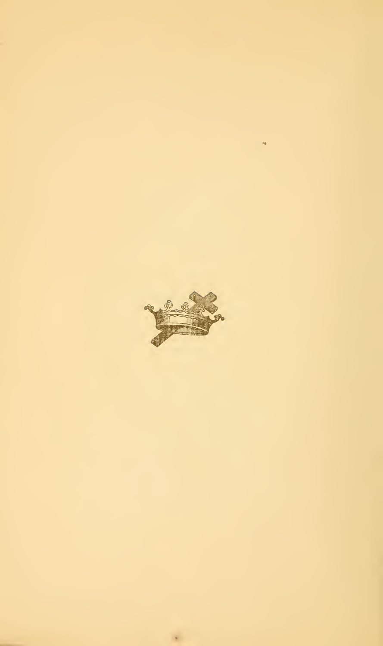

 $\hat{a}_{\theta}$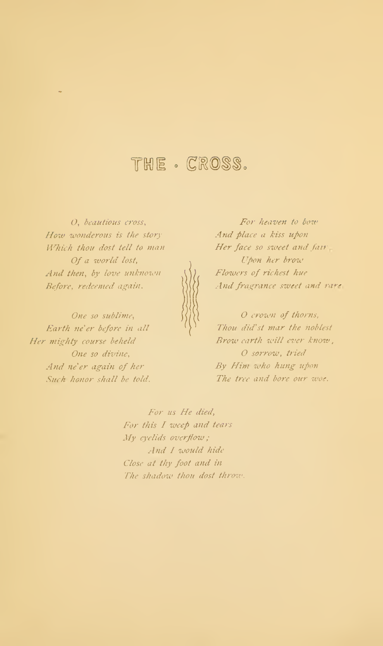# THE . CROSS.

O, beautious cross. How wonderous is the story Which thou dost tell to man Of a world lost, And then, by love unknown Before, redeemed again.

One so sublime, Earth ne'er before in all Her mighty course beheld One so divine, And ne'er again of her Such honor shall be told.

For heaven to bow And place <sup>a</sup> kiss upon Her face so sweet and fair Upon her brow Flowers of richest hue And fragrance sweet and rare.

O crown of thorns, Thou did' st mar the noblest Brow carth will ever know. O sorrow, tried By Him who hung upon The tree and bore our woe.

For us He died, For this I weep and tears My eyelids overflow; And <sup>I</sup> would hide Close at thy foot and in The shadow thou dost throw.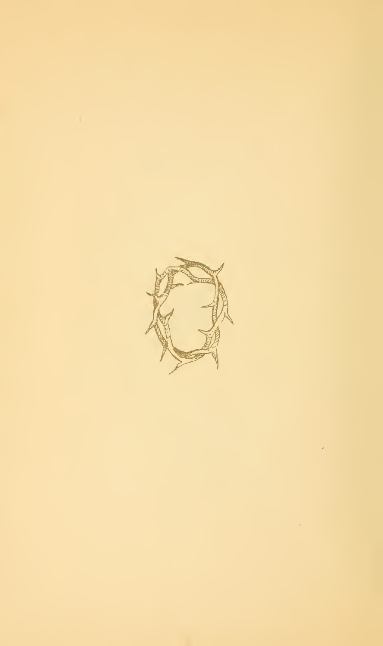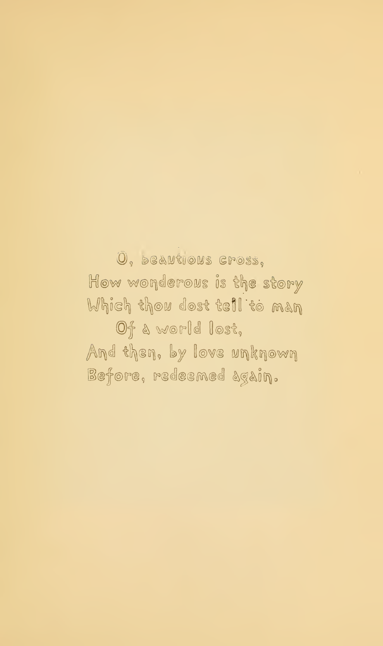O, beautious cross. How wonderous is the story Which thou dost tell to man Of a world lost, And then, by love unknown Before, redeemed AgAin.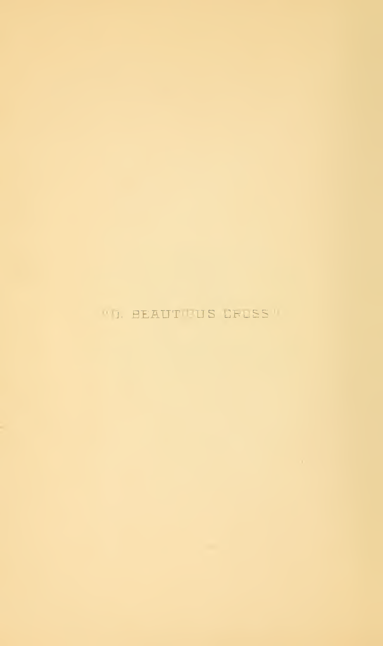## D. BEAUT LUS CRUSS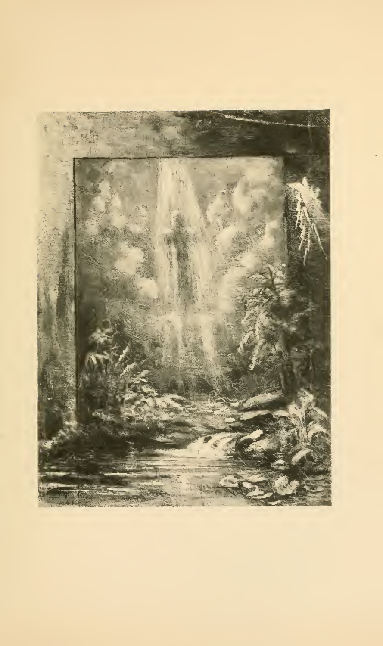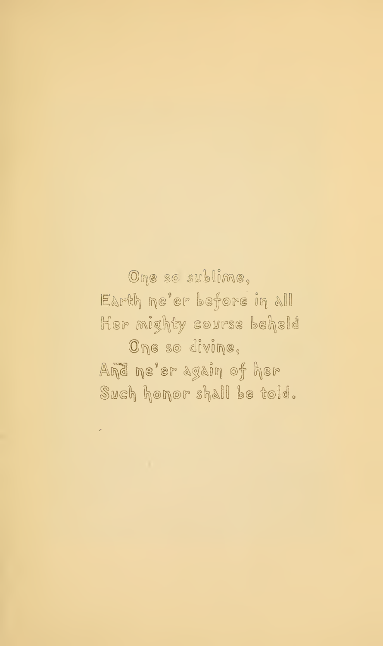One so divine, And ne'er again of her Such honor shall be told.

 $\mathcal{L}^{\pm}$ 

One so sublime, Earth ne'er before in all Her mighty course beheld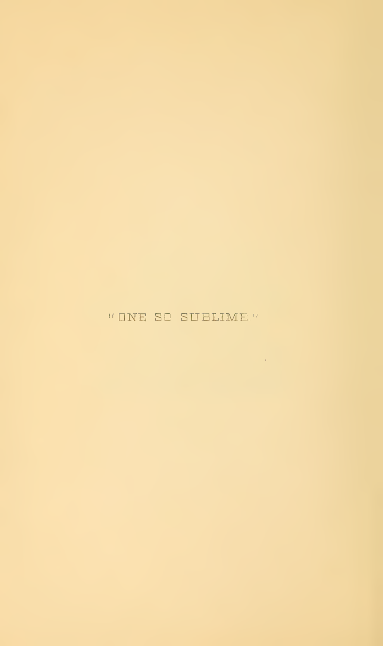"ONE SO SUBLIME."

 $\mathcal{L}^{\text{max}}_{\text{max}}$  , where  $\mathcal{L}^{\text{max}}_{\text{max}}$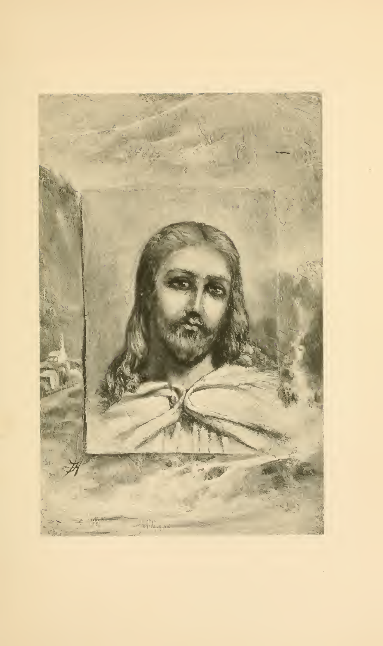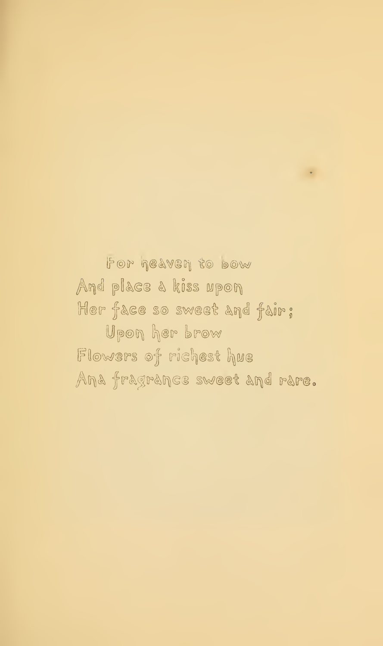For heaven to bow And place a kiss upon Her face so sweet and fair; Upon her brow Flowers of richest hue Ana fragrance sweet and rare.

 $\langle \rangle$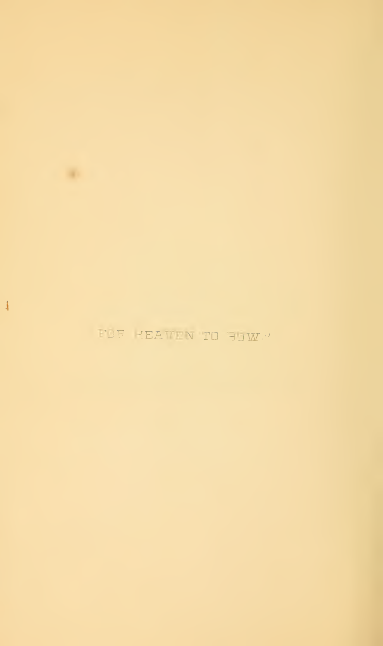# FUR TEATEN TO BUW."

**SOLUTION** 

 $\overline{A}$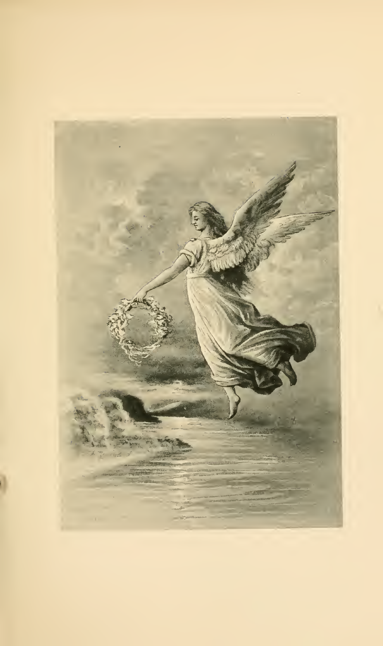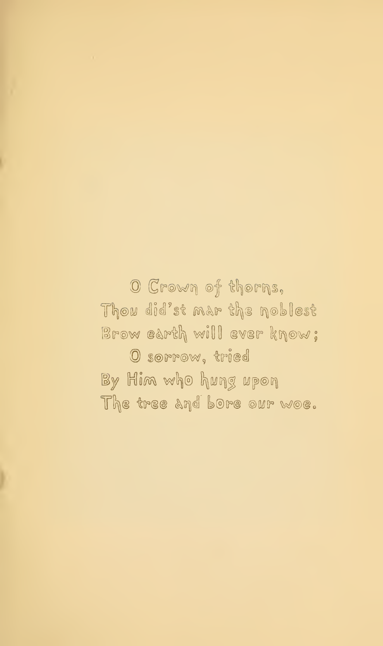Brow carth will ever know; O sorrow, tried By Him who hung upon The tree and bore our woe.

O Crown of thorns, Thou did'st mar the noblest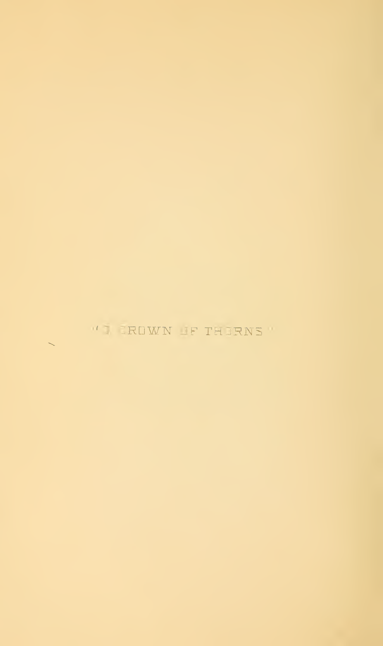IT EROWN IF THERNS

 $\overline{\phantom{0}}$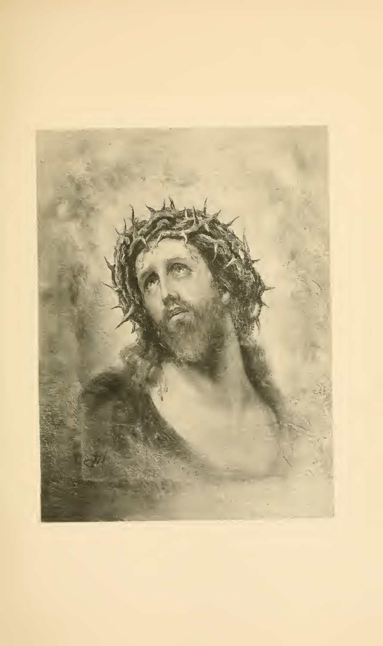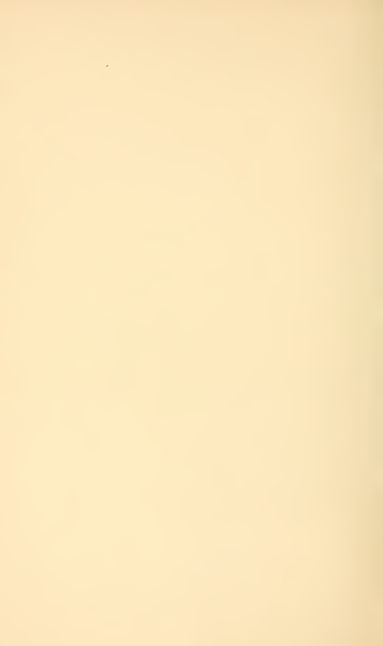$\mathcal{L}^{\mathcal{L}}(\mathcal{L})$  , where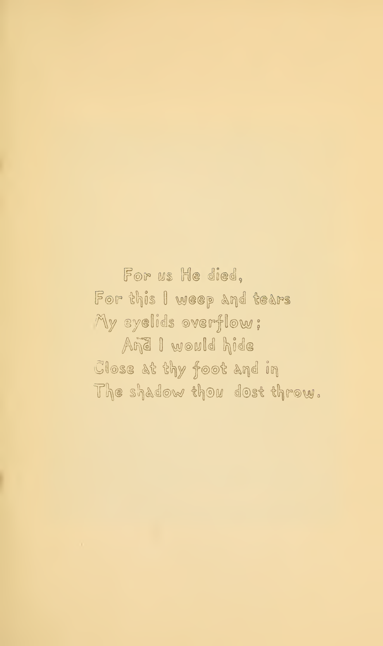For us He died, For this I weep and tears My eyelids overflow: And I would hide Close at thy foot and in The shadow thou dost throw.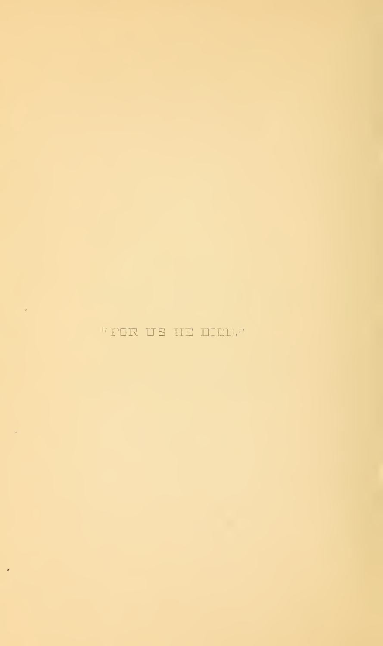$\ensuremath{^{\mathrm{H}}}\xspace$  FOR US HE DIED/"

l,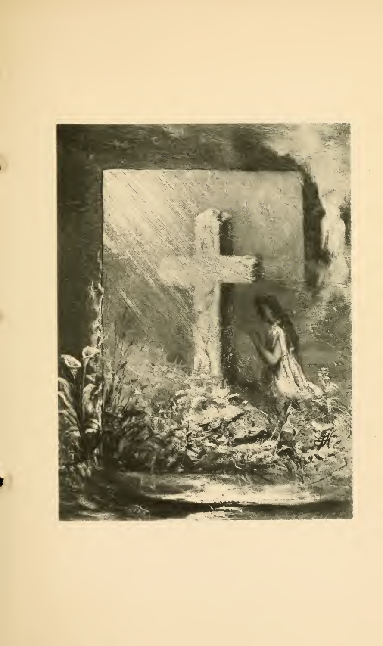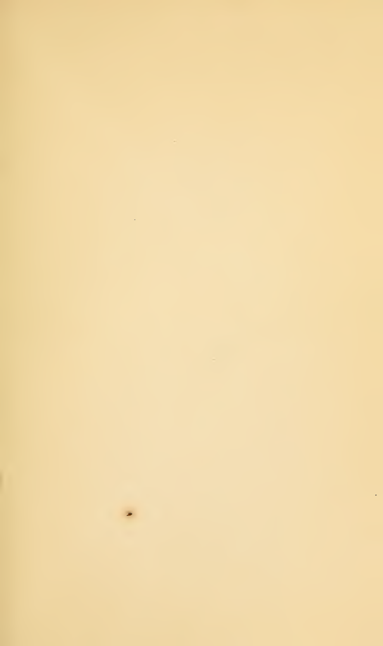

٠

k,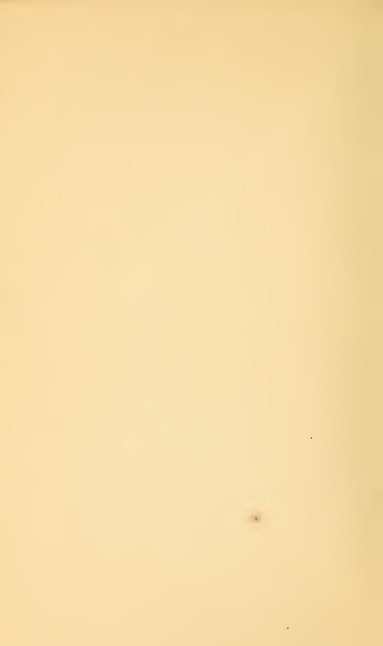

 $\mathcal{A}$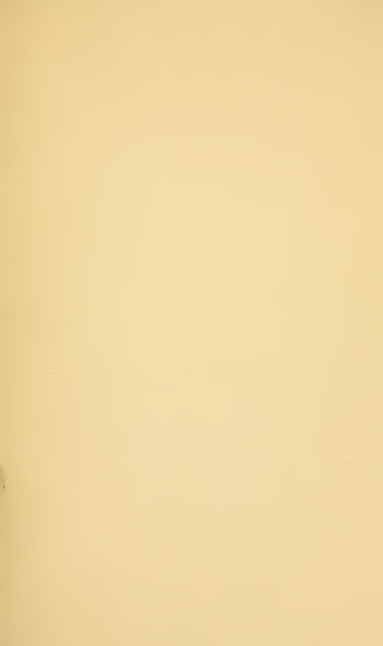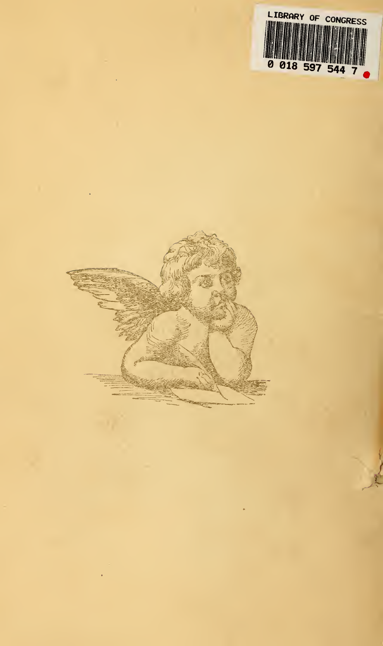